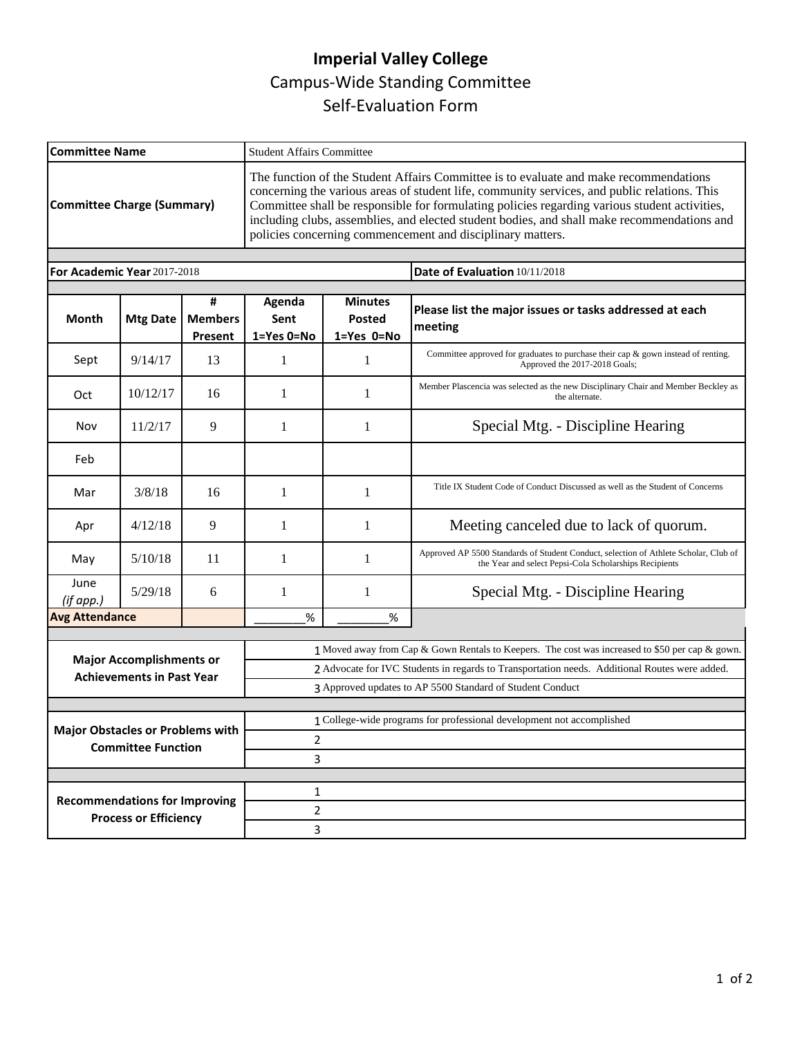## **Imperial Valley College**  Campus-Wide Standing Committee Self-Evaluation Form

| <b>Committee Name</b>                                                |                              |                                | <b>Student Affairs Committee</b>                                                                                                                                                                                                                                                                                                                                                                                                                    |                                                       |                                                                                                                                                |  |  |
|----------------------------------------------------------------------|------------------------------|--------------------------------|-----------------------------------------------------------------------------------------------------------------------------------------------------------------------------------------------------------------------------------------------------------------------------------------------------------------------------------------------------------------------------------------------------------------------------------------------------|-------------------------------------------------------|------------------------------------------------------------------------------------------------------------------------------------------------|--|--|
| <b>Committee Charge (Summary)</b>                                    |                              |                                | The function of the Student Affairs Committee is to evaluate and make recommendations<br>concerning the various areas of student life, community services, and public relations. This<br>Committee shall be responsible for formulating policies regarding various student activities,<br>including clubs, assemblies, and elected student bodies, and shall make recommendations and<br>policies concerning commencement and disciplinary matters. |                                                       |                                                                                                                                                |  |  |
| For Academic Year 2017-2018                                          |                              |                                |                                                                                                                                                                                                                                                                                                                                                                                                                                                     |                                                       | Date of Evaluation 10/11/2018                                                                                                                  |  |  |
|                                                                      |                              |                                |                                                                                                                                                                                                                                                                                                                                                                                                                                                     |                                                       |                                                                                                                                                |  |  |
| <b>Month</b>                                                         | <b>Mtg Date</b>              | #<br><b>Members</b><br>Present | Agenda<br>Sent<br>1=Yes 0=No                                                                                                                                                                                                                                                                                                                                                                                                                        | <b>Minutes</b><br><b>Posted</b><br>$1 = Yes$ $0 = No$ | Please list the major issues or tasks addressed at each<br>meeting                                                                             |  |  |
| Sept                                                                 | 9/14/17                      | 13                             | 1                                                                                                                                                                                                                                                                                                                                                                                                                                                   | 1                                                     | Committee approved for graduates to purchase their cap & gown instead of renting.<br>Approved the 2017-2018 Goals;                             |  |  |
| Oct                                                                  | 10/12/17                     | 16                             | 1                                                                                                                                                                                                                                                                                                                                                                                                                                                   | 1                                                     | Member Plascencia was selected as the new Disciplinary Chair and Member Beckley as<br>the alternate.                                           |  |  |
| Nov                                                                  | 11/2/17                      | 9                              | 1                                                                                                                                                                                                                                                                                                                                                                                                                                                   | 1                                                     | Special Mtg. - Discipline Hearing                                                                                                              |  |  |
| Feb                                                                  |                              |                                |                                                                                                                                                                                                                                                                                                                                                                                                                                                     |                                                       |                                                                                                                                                |  |  |
| Mar                                                                  | 3/8/18                       | 16                             | $\mathbf{1}$                                                                                                                                                                                                                                                                                                                                                                                                                                        | 1                                                     | Title IX Student Code of Conduct Discussed as well as the Student of Concerns                                                                  |  |  |
| Apr                                                                  | 4/12/18                      | 9                              | 1                                                                                                                                                                                                                                                                                                                                                                                                                                                   | 1                                                     | Meeting canceled due to lack of quorum.                                                                                                        |  |  |
| May                                                                  | 5/10/18                      | 11                             | 1                                                                                                                                                                                                                                                                                                                                                                                                                                                   | 1                                                     | Approved AP 5500 Standards of Student Conduct, selection of Athlete Scholar, Club of<br>the Year and select Pepsi-Cola Scholarships Recipients |  |  |
| June<br>(if app.)                                                    | 5/29/18                      | 6                              | 1                                                                                                                                                                                                                                                                                                                                                                                                                                                   | 1                                                     | Special Mtg. - Discipline Hearing                                                                                                              |  |  |
|                                                                      | <b>Avg Attendance</b>        |                                | $\%$                                                                                                                                                                                                                                                                                                                                                                                                                                                | $\%$                                                  |                                                                                                                                                |  |  |
|                                                                      |                              |                                |                                                                                                                                                                                                                                                                                                                                                                                                                                                     |                                                       | 1 Moved away from Cap & Gown Rentals to Keepers. The cost was increased to \$50 per cap & gown.                                                |  |  |
| <b>Major Accomplishments or</b><br><b>Achievements in Past Year</b>  |                              |                                | 2 Advocate for IVC Students in regards to Transportation needs. Additional Routes were added.                                                                                                                                                                                                                                                                                                                                                       |                                                       |                                                                                                                                                |  |  |
|                                                                      |                              |                                | 3 Approved updates to AP 5500 Standard of Student Conduct                                                                                                                                                                                                                                                                                                                                                                                           |                                                       |                                                                                                                                                |  |  |
|                                                                      |                              |                                |                                                                                                                                                                                                                                                                                                                                                                                                                                                     |                                                       |                                                                                                                                                |  |  |
| <b>Major Obstacles or Problems with</b><br><b>Committee Function</b> |                              |                                | 1 College-wide programs for professional development not accomplished<br>2                                                                                                                                                                                                                                                                                                                                                                          |                                                       |                                                                                                                                                |  |  |
|                                                                      |                              |                                | 3                                                                                                                                                                                                                                                                                                                                                                                                                                                   |                                                       |                                                                                                                                                |  |  |
|                                                                      |                              |                                |                                                                                                                                                                                                                                                                                                                                                                                                                                                     |                                                       |                                                                                                                                                |  |  |
| <b>Recommendations for Improving</b>                                 |                              |                                | $\mathbf{1}$                                                                                                                                                                                                                                                                                                                                                                                                                                        |                                                       |                                                                                                                                                |  |  |
|                                                                      | <b>Process or Efficiency</b> |                                |                                                                                                                                                                                                                                                                                                                                                                                                                                                     | $\overline{2}$                                        |                                                                                                                                                |  |  |
|                                                                      |                              |                                | 3                                                                                                                                                                                                                                                                                                                                                                                                                                                   |                                                       |                                                                                                                                                |  |  |